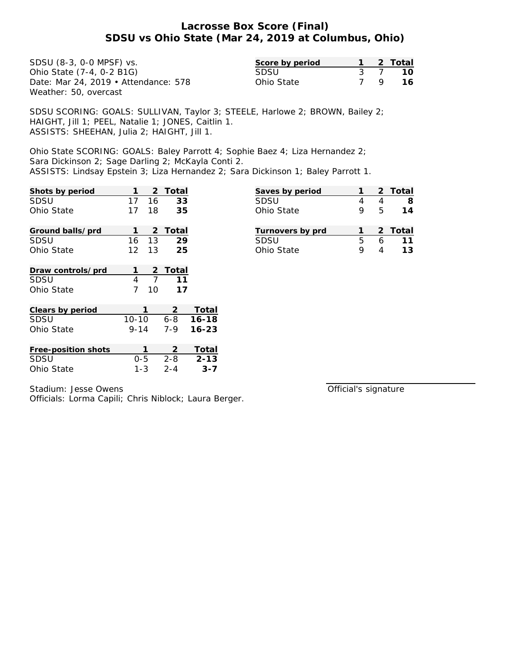| SDSU (8-3, 0-0 MPSF) vs.             | Score by period |    | 2 Total |
|--------------------------------------|-----------------|----|---------|
| Ohio State (7-4, 0-2 B1G)            | SDSU            |    | 10      |
| Date: Mar 24, 2019 • Attendance: 578 | Ohio State      | 79 | 16      |
| Weather: 50, overcast                |                 |    |         |

SDSU SCORING: GOALS: SULLIVAN, Taylor 3; STEELE, Harlowe 2; BROWN, Bailey 2; HAIGHT, Jill 1; PEEL, Natalie 1; JONES, Caitlin 1. ASSISTS: SHEEHAN, Julia 2; HAIGHT, Jill 1.

Ohio State SCORING: GOALS: Baley Parrott 4; Sophie Baez 4; Liza Hernandez 2; Sara Dickinson 2; Sage Darling 2; McKayla Conti 2. ASSISTS: Lindsay Epstein 3; Liza Hernandez 2; Sara Dickinson 1; Baley Parrott 1.

| Shots by period     | 1         | 2              | Total   |           |
|---------------------|-----------|----------------|---------|-----------|
| SDSU                | 17        | 16             | 33      |           |
| Ohio State          | 17        | 18             | 35      |           |
| Ground balls/prd    | 1         | 2              | Total   |           |
| SDSU                | 16        | 13             | 29      |           |
| Ohio State          | 12        | 13             | 25      |           |
| Draw controls/prd   | 1         | 2              | Total   |           |
| SDSU                | 4         | $\overline{7}$ | 11      |           |
| Ohio State          | 7         | 10             | 17      |           |
| Clears by period    |           | 1              | 2       | Total     |
| SDSU                | $10 - 10$ |                | $6 - 8$ | $16 - 18$ |
| Ohio State          | $9 - 14$  |                | $7 - 9$ | $16 - 23$ |
| Free-position shots |           | 1              | 2       | Total     |
| SDSU                | $0 - 5$   |                | $2 - 8$ | $2 - 13$  |
| Ohio State          | 1-3       |                | $2 - 4$ | $3 - 7$   |

| Stadium: Jesse Owens |  |
|----------------------|--|
|                      |  |

Officials: Lorma Capili; Chris Niblock; Laura Berger.

Official's signature

**Saves by period 1 2 Total** SDSU 4 4 **8** Ohio State 9 5 **14**

**Turnovers by prd 1 2 Total** SDSU 5 6 **11** Ohio State 9 4 **13**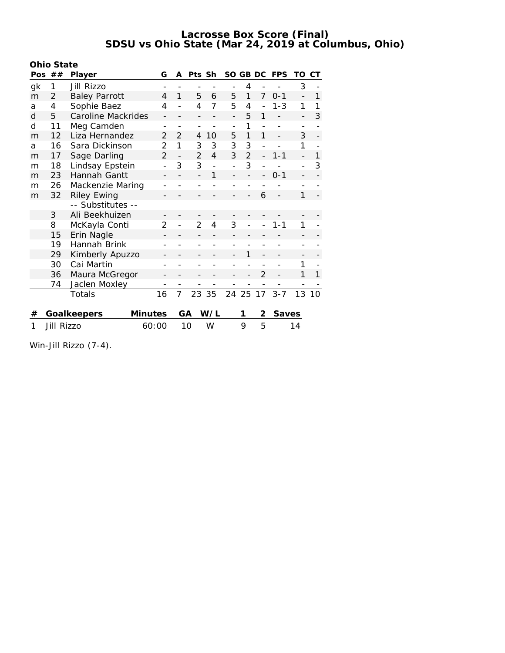|     | Ohio State        |                      |                          |                          |                |     |     |                |                          |            |                |    |
|-----|-------------------|----------------------|--------------------------|--------------------------|----------------|-----|-----|----------------|--------------------------|------------|----------------|----|
| Pos | ##                | Player               | G                        | А                        | Pts Sh         |     | SO. |                | GB DC                    | <b>FPS</b> | TO             | CТ |
| gk  | 1                 | Jill Rizzo           |                          |                          |                |     |     | 4              |                          |            | 3              |    |
| m   | $\overline{2}$    | <b>Baley Parrott</b> | 4                        | 1                        | 5              | 6   | 5   | 1              | 7                        | $0 - 1$    | $\overline{a}$ | 1  |
| a   | 4                 | Sophie Baez          | 4                        |                          | 4              | 7   | 5   | 4              |                          | $1 - 3$    | 1              | 1  |
| d   | 5                 | Caroline Mackrides   | $\overline{a}$           |                          |                |     |     | 5              | 1                        |            |                | 3  |
| d   | 11                | Meg Camden           |                          |                          |                |     |     | 1              |                          |            |                |    |
| m   | 12                | Liza Hernandez       | $\overline{2}$           | $\mathfrak{D}$           | 4              | 10  | 5   | 1              | 1                        |            | 3              |    |
| a   | 16                | Sara Dickinson       | 2                        | 1                        | 3              | 3   | 3   | 3              | $\overline{\phantom{a}}$ |            | 1              |    |
| m   | 17                | Sage Darling         | $\overline{2}$           | $\overline{\phantom{0}}$ | $\overline{2}$ | 4   | 3   | $\overline{2}$ | $\overline{\phantom{0}}$ | $1 - 1$    | $\overline{a}$ | 1  |
| m   | 18                | Lindsay Epstein      | $\overline{a}$           | 3                        | 3              |     |     | 3              |                          |            | $\overline{a}$ | 3  |
| m   | 23                | Hannah Gantt         | $\overline{\phantom{0}}$ |                          |                | 1   |     |                |                          | $0 - 1$    | $\overline{a}$ |    |
| m   | 26                | Mackenzie Maring     |                          |                          |                |     |     |                |                          |            |                |    |
| m   | 32                | <b>Riley Ewing</b>   |                          |                          |                |     |     |                | 6                        |            | 1              |    |
|     |                   | -- Substitutes --    |                          |                          |                |     |     |                |                          |            |                |    |
|     | 3                 | Ali Beekhuizen       |                          |                          |                |     |     |                |                          |            |                |    |
|     | 8                 | McKayla Conti        | 2                        |                          | $\overline{2}$ | 4   | 3   |                |                          | 1-1        | 1              |    |
|     | 15                | Erin Nagle           |                          |                          |                |     |     |                |                          |            |                |    |
|     | 19                | Hannah Brink         |                          |                          |                |     |     |                |                          |            |                |    |
|     | 29                | Kimberly Apuzzo      |                          |                          |                |     |     | 1              |                          |            |                |    |
|     | 30                | Cai Martin           |                          |                          |                |     |     |                |                          |            | 1              |    |
|     | 36                | Maura McGregor       | $\overline{a}$           |                          |                |     |     |                | $\overline{2}$           |            | 1              | 1  |
|     | 74                | Jaclen Moxley        |                          |                          |                |     |     |                |                          |            |                |    |
|     |                   | Totals               | 16                       | $\overline{7}$           | 23             | 35  |     | 24 25          | 17                       | $3 - 7$    | 13             | 10 |
| #   |                   | Goalkeepers          | <b>Minutes</b>           |                          | GA             | W/L |     | 1              | 2                        | Saves      |                |    |
| 1   | <b>Jill Rizzo</b> |                      | 60:00                    |                          | 10             | W   |     | $\mathsf Q$    | 5                        |            | 14             |    |

Win-Jill Rizzo (7-4).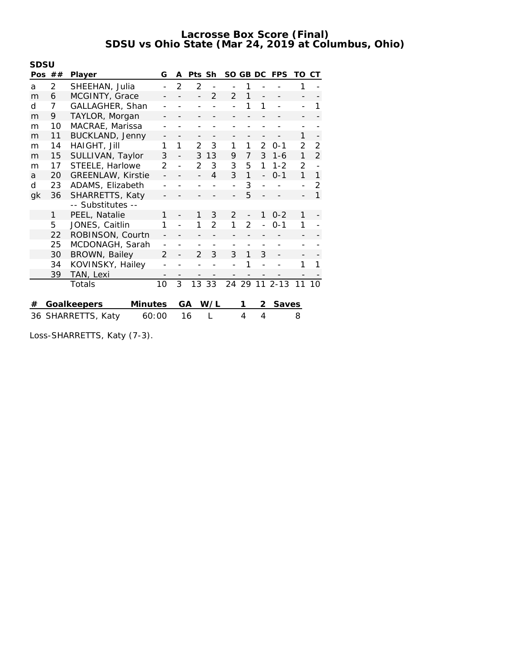| SDSU |          |                             |                   |                |                |               |                |                |   |               |    |                |
|------|----------|-----------------------------|-------------------|----------------|----------------|---------------|----------------|----------------|---|---------------|----|----------------|
|      | Pos $##$ | Player                      | G                 | A              | Pts Sh         |               |                | SO GB DC       |   | <b>FPS</b>    | TO | CT.            |
| а    | 2        | SHEEHAN, Julia              |                   | 2              | $\overline{2}$ |               |                | 1              |   |               | 1  |                |
| m    | 6        | MCGINTY, Grace              |                   |                |                | $\mathcal{P}$ | $\mathcal{P}$  | 1              |   |               |    |                |
| d    | 7        | GALLAGHER, Shan             |                   |                |                |               |                | 1              | 1 |               |    | 1              |
| m    | 9        | TAYLOR, Morgan              |                   |                |                |               |                |                |   |               |    |                |
| m    | 10       | MACRAE, Marissa             |                   |                |                |               |                |                |   |               |    |                |
| m    | 11       | <b>BUCKLAND, Jenny</b>      |                   |                |                |               |                |                |   |               | 1  |                |
| m    | 14       | HAIGHT, Jill                | 1                 | 1              | $\overline{2}$ | 3             | 1              | 1              | 2 | $0 - 1$       | 2  | 2              |
| m    | 15       | SULLIVAN, Taylor            | 3                 |                | 3              | 13            | 9              | 7              | 3 | $1 - 6$       | 1  | $\overline{2}$ |
| m    | 17       | STEELE, Harlowe             | 2                 |                | $\mathcal{P}$  | 3             | 3              | 5              | 1 | $1 - 2$       | 2  |                |
| a    | 20       | <b>GREENLAW, Kirstie</b>    |                   |                |                | 4             | 3              | 1              |   | $0 - 1$       | 1  | 1              |
| d    | 23       | ADAMS, Elizabeth            | $\overline{a}$    |                |                |               |                | 3              |   |               |    | 2              |
| gk   | 36       | SHARRETTS, Katy             |                   |                |                |               |                | 5              |   |               |    | 1              |
|      |          | -- Substitutes --           |                   |                |                |               |                |                |   |               |    |                |
|      | 1        | PEEL, Natalie               | 1                 |                | 1              | 3             | $\overline{2}$ |                | 1 | $0 - 2$       | 1  |                |
|      | 5        | JONES, Caitlin              | 1                 | $\overline{a}$ | 1              | $\mathcal{P}$ | 1              | $\overline{2}$ |   | $0 - 1$       | 1  |                |
|      | 22       | ROBINSON, Courtn            |                   |                |                |               |                |                |   |               |    |                |
|      | 25       | MCDONAGH, Sarah             |                   |                |                |               |                |                |   |               |    |                |
|      | 30       | BROWN, Bailey               | $\mathfrak{D}$    |                | $\mathcal{P}$  | 3             | 3              | 1              | 3 |               |    |                |
|      | 34       | KOVINSKY, Hailey            |                   |                |                |               |                | 1              |   |               | 1  | 1              |
|      | 39       | TAN, Lexi                   | $\qquad \qquad -$ |                |                |               |                |                |   |               |    |                |
|      |          | Totals                      | 10                | 3              |                | 13 33         |                |                |   | 24 29 11 2-13 | 11 | 10             |
| #    |          | Goalkeepers<br>Minutes      |                   |                | GA             | W/L           |                | 1              | 2 | Saves         |    |                |
|      |          | 36 SHARRETTS, Katy<br>60:00 |                   |                | 16             |               |                | 4              | 4 |               | 8  |                |

Loss-SHARRETTS, Katy (7-3).